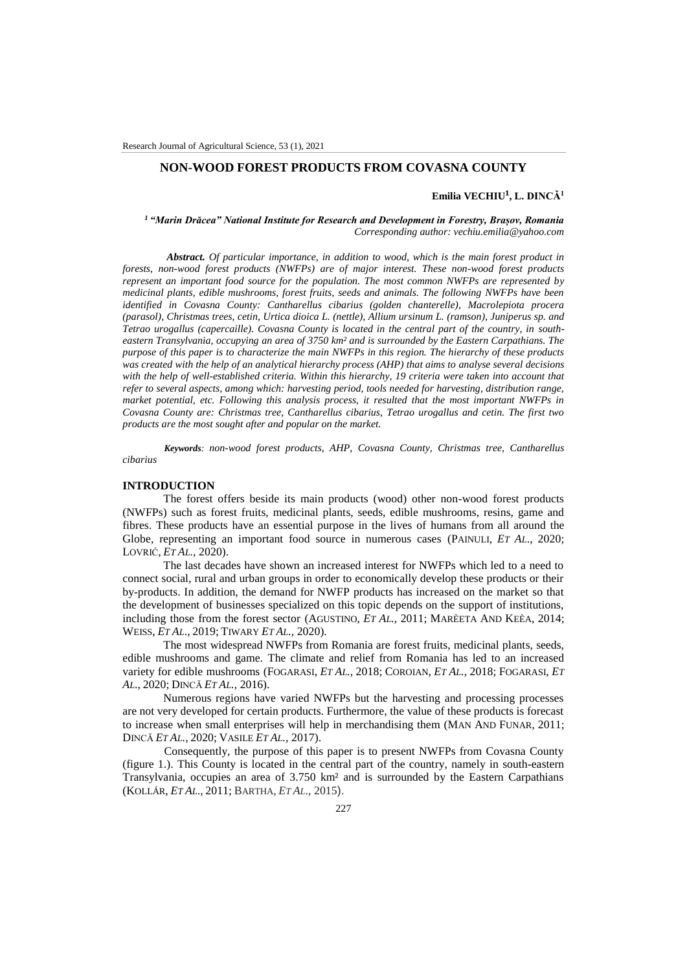## **NON-WOOD FOREST PRODUCTS FROM COVASNA COUNTY**

## **Emilia VECHIU¹, L. DINCĂ<sup>1</sup>**

*<sup>1</sup>"Marin Drăcea" National Institute for Research and Development in Forestry, Brașov, Romania Corresponding author: vechiu.emilia@yahoo.com* 

*Abstract. Of particular importance, in addition to wood, which is the main forest product in forests, non-wood forest products (NWFPs) are of major interest. These non-wood forest products represent an important food source for the population. The most common NWFPs are represented by medicinal plants, edible mushrooms, forest fruits, seeds and animals. The following NWFPs have been identified in Covasna County: Cantharellus cibarius (golden chanterelle), Macrolepiota procera (parasol), Christmas trees, cetin, Urtica dioica L. (nettle), Allium ursinum L. (ramson), Juniperus sp. and Tetrao urogallus (capercaille). Covasna County is located in the central part of the country, in southeastern Transylvania, occupying an area of 3750 km² and is surrounded by the Eastern Carpathians. The purpose of this paper is to characterize the main NWFPs in this region. The hierarchy of these products was created with the help of an analytical hierarchy process (AHP) that aims to analyse several decisions with the help of well-established criteria. Within this hierarchy, 19 criteria were taken into account that refer to several aspects, among which: harvesting period, tools needed for harvesting, distribution range, market potential, etc. Following this analysis process, it resulted that the most important NWFPs in Covasna County are: Christmas tree, Cantharellus cibarius, Tetrao urogallus and cetin. The first two products are the most sought after and popular on the market.*

*Keywords: non-wood forest products, AHP, Covasna County, Christmas tree, Cantharellus cibarius*

### **INTRODUCTION**

The forest offers beside its main products (wood) other non-wood forest products (NWFPs) such as forest fruits, medicinal plants, seeds, edible mushrooms, resins, game and fibres. These products have an essential purpose in the lives of humans from all around the Globe, representing an important food source in numerous cases (PAINULI, *ET AL*., 2020; LOVRIĆ, *ET AL.,* 2020).

The last decades have shown an increased interest for NWFPs which led to a need to connect social, rural and urban groups in order to economically develop these products or their by-products. In addition, the demand for NWFP products has increased on the market so that the development of businesses specialized on this topic depends on the support of institutions, including those from the forest sector (AGUSTINO, *ET AL.,* 2011; MARÈETA AND KEÈA, 2014; WEISS, *ET AL*., 2019; TIWARY *ET AL.,* 2020).

The most widespread NWFPs from Romania are forest fruits, medicinal plants, seeds, edible mushrooms and game. The climate and relief from Romania has led to an increased variety for edible mushrooms (FOGARASI, *ET AL.,* 2018; COROIAN, *ET AL.,* 2018; FOGARASI, *ET AL*., 2020; DINCĂ *ET AL.,* 2016).

Numerous regions have varied NWFPs but the harvesting and processing processes are not very developed for certain products. Furthermore, the value of these products is forecast to increase when small enterprises will help in merchandising them (MAN AND FUNAR, 2011; DINCĂ *ET AL.,* 2020; VASILE *ET AL.,* 2017).

Consequently, the purpose of this paper is to present NWFPs from Covasna County (figure 1.). This County is located in the central part of the country, namely in south-eastern Transylvania, occupies an area of 3.750 km² and is surrounded by the Eastern Carpathians (KOLLÁR, *ET AL*., 2011; BARTHA, *ET AL*., 2015).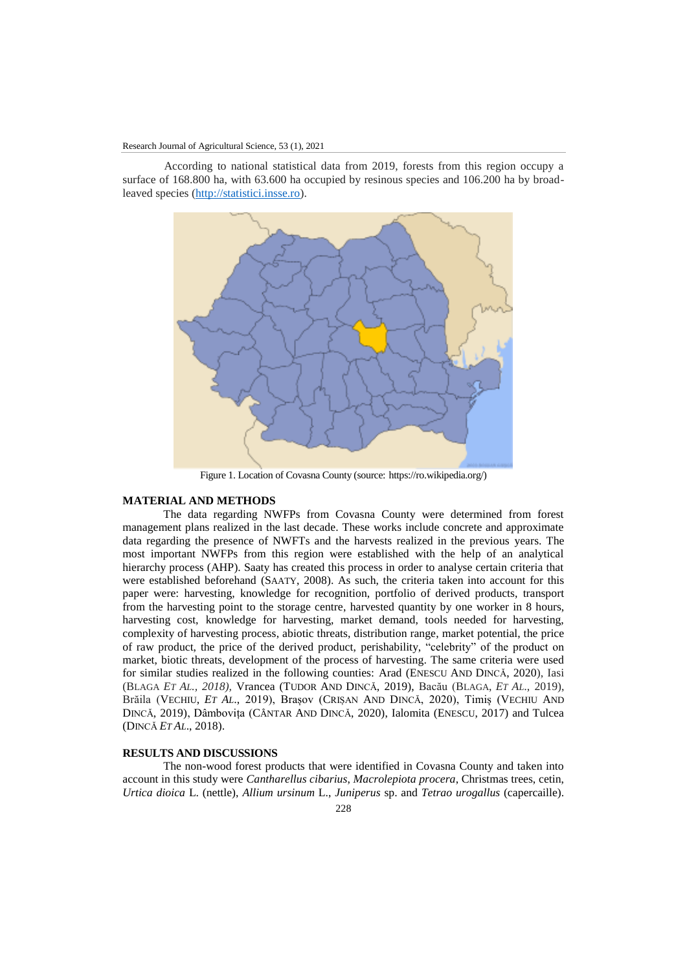According to national statistical data from 2019, forests from this region occupy a surface of 168.800 ha, with 63.600 ha occupied by resinous species and 106.200 ha by broadleaved species [\(http://statistici.insse.ro\)](http://statistici.insse.ro/).



Figure 1. Location of Covasna County (source: https://ro.wikipedia.org/)

### **MATERIAL AND METHODS**

The data regarding NWFPs from Covasna County were determined from forest management plans realized in the last decade. These works include concrete and approximate data regarding the presence of NWFTs and the harvests realized in the previous years. The most important NWFPs from this region were established with the help of an analytical hierarchy process (AHP). Saaty has created this process in order to analyse certain criteria that were established beforehand (SAATY, 2008). As such, the criteria taken into account for this paper were: harvesting, knowledge for recognition, portfolio of derived products, transport from the harvesting point to the storage centre, harvested quantity by one worker in 8 hours, harvesting cost, knowledge for harvesting, market demand, tools needed for harvesting, complexity of harvesting process, abiotic threats, distribution range, market potential, the price of raw product, the price of the derived product, perishability, "celebrity" of the product on market, biotic threats, development of the process of harvesting. The same criteria were used for similar studies realized in the following counties: Arad (ENESCU AND DINCĂ, 2020), Iasi (BLAGA *ET AL., 2018),* Vrancea (TUDOR AND DINCĂ, 2019), Bacău (BLAGA, *ET AL*., 2019), Brăila (VECHIU, *ET AL*., 2019), Brașov (CRIȘAN AND DINCĂ, 2020), Timiș (VECHIU AND DINCĂ, 2019), Dâmbovița (CÂNTAR AND DINCĂ, 2020), Ialomita (ENESCU, 2017) and Tulcea (DINCĂ *ET AL*., 2018).

# **RESULTS AND DISCUSSIONS**

The non-wood forest products that were identified in Covasna County and taken into account in this study were *Cantharellus cibarius*, *Macrolepiota procera*, Christmas trees, cetin, *Urtica dioica* L. (nettle), *Allium ursinum* L., *Juniperus* sp. and *Tetrao urogallus* (capercaille).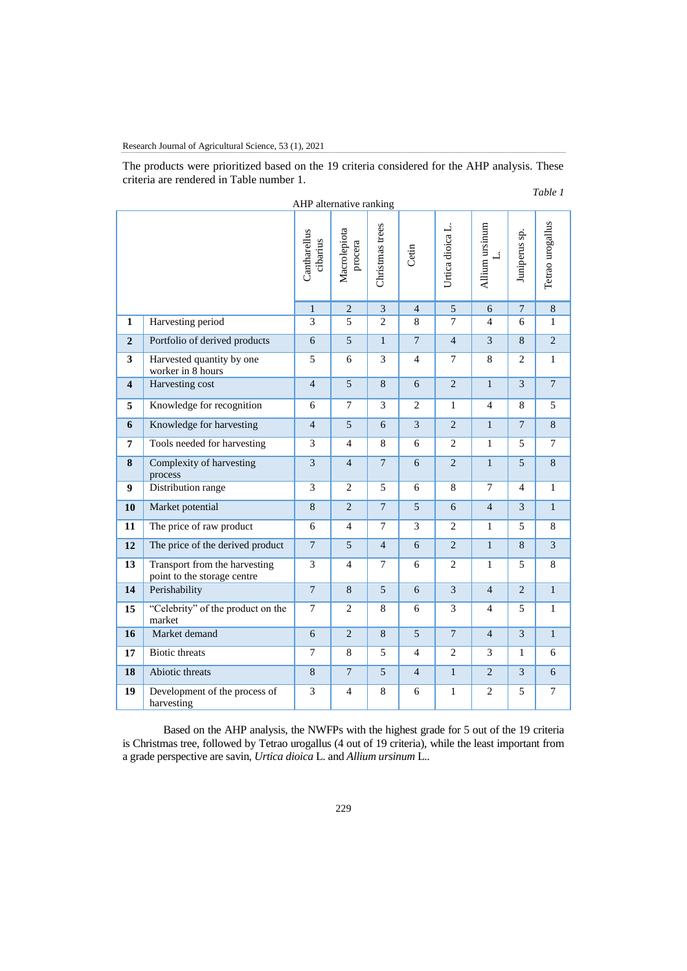Research Journal of Agricultural Science, 53 (1), 2021

The products were prioritized based on the 19 criteria considered for the AHP analysis. These criteria are rendered in Table number 1.

### *Table 1*

| AHP alternative ranking |                                                              |                          |                         |                 |                |                  |                      |                |                  |
|-------------------------|--------------------------------------------------------------|--------------------------|-------------------------|-----------------|----------------|------------------|----------------------|----------------|------------------|
|                         |                                                              | Cantharellus<br>cibarius | Macrolepiota<br>procera | Christmas trees | Cetin          | Urtica dioica L. | Allium ursinum<br>نـ | Juniperus sp.  | Tetrao urogallus |
|                         |                                                              | $\mathbf{1}$             | $\sqrt{2}$              | $\mathfrak{Z}$  | $\overline{4}$ | $\mathfrak{S}$   | 6                    | $\overline{7}$ | $\,8\,$          |
| $\mathbf{1}$            | Harvesting period                                            | 3                        | 5                       | $\overline{2}$  | 8              | $\tau$           | $\overline{4}$       | 6              | 1                |
| $\overline{2}$          | Portfolio of derived products                                | 6                        | 5                       | $\mathbf{1}$    | $\overline{7}$ | $\overline{4}$   | 3                    | 8              | $\overline{2}$   |
| $\overline{\mathbf{3}}$ | Harvested quantity by one<br>worker in 8 hours               | 5                        | 6                       | 3               | $\overline{4}$ | $\overline{7}$   | 8                    | $\overline{2}$ | $\mathbf{1}$     |
| $\overline{\mathbf{4}}$ | <b>Harvesting cost</b>                                       | $\overline{4}$           | 5                       | 8               | 6              | $\overline{2}$   | $\mathbf{1}$         | $\overline{3}$ | $\overline{7}$   |
| 5                       | Knowledge for recognition                                    | 6                        | $\overline{7}$          | $\overline{3}$  | 2              | $\mathbf{1}$     | $\overline{4}$       | 8              | 5                |
| 6                       | Knowledge for harvesting                                     | $\overline{4}$           | $\mathfrak{S}$          | 6               | 3              | $\overline{2}$   | $\mathbf{1}$         | $\overline{7}$ | 8                |
| $\overline{7}$          | Tools needed for harvesting                                  | 3                        | $\overline{4}$          | 8               | 6              | $\overline{2}$   | $\mathbf{1}$         | 5              | $\tau$           |
| 8                       | Complexity of harvesting<br>process                          | $\overline{\mathbf{3}}$  | $\overline{4}$          | $\overline{7}$  | 6              | $\overline{2}$   | $\mathbf{1}$         | 5              | 8                |
| 9                       | Distribution range                                           | 3                        | 2                       | 5               | 6              | 8                | $\tau$               | 4              | $\mathbf{1}$     |
| 10                      | Market potential                                             | 8                        | $\overline{2}$          | $\overline{7}$  | 5              | 6                | $\overline{4}$       | $\overline{3}$ | $\mathbf{1}$     |
| 11                      | The price of raw product                                     | 6                        | $\overline{4}$          | $\overline{7}$  | 3              | $\overline{2}$   | $\mathbf{1}$         | 5              | 8                |
| 12                      | The price of the derived product                             | $\overline{7}$           | 5                       | $\overline{4}$  | 6              | $\overline{2}$   | $\mathbf{1}$         | 8              | $\overline{3}$   |
| 13                      | Transport from the harvesting<br>point to the storage centre | 3                        | $\overline{4}$          | 7               | 6              | 2                | $\mathbf{1}$         | 5              | 8                |
| 14                      | Perishability                                                | $\overline{7}$           | 8                       | $\overline{5}$  | 6              | 3                | $\overline{4}$       | $\overline{2}$ | $\mathbf{1}$     |
| 15                      | "Celebrity" of the product on the<br>market                  | $\overline{7}$           | $\mathbf{2}$            | 8               | 6              | 3                | $\overline{4}$       | 5              | $\mathbf{1}$     |
| 16                      | Market demand                                                | 6                        | $\overline{2}$          | 8               | 5              | $\overline{7}$   | $\overline{4}$       | $\overline{3}$ | $\mathbf{1}$     |
| 17                      | <b>Biotic threats</b>                                        | $\overline{7}$           | 8                       | 5               | 4              | 2                | 3                    | $\mathbf{1}$   | 6                |
| 18                      | Abiotic threats                                              | 8                        | $7\phantom{.0}$         | $\overline{5}$  | $\overline{4}$ | $\mathbf{1}$     | 2                    | 3              | 6                |
| 19                      | Development of the process of<br>harvesting                  | 3                        | $\overline{4}$          | 8               | 6              | $\mathbf{1}$     | 2                    | 5              | $\tau$           |
|                         |                                                              |                          |                         |                 |                |                  |                      |                |                  |

AHP alternative ranking

Based on the AHP analysis, the NWFPs with the highest grade for 5 out of the 19 criteria is Christmas tree, followed by Tetrao urogallus (4 out of 19 criteria), while the least important from a grade perspective are savin, *Urtica dioica* L. and *Allium ursinum* L..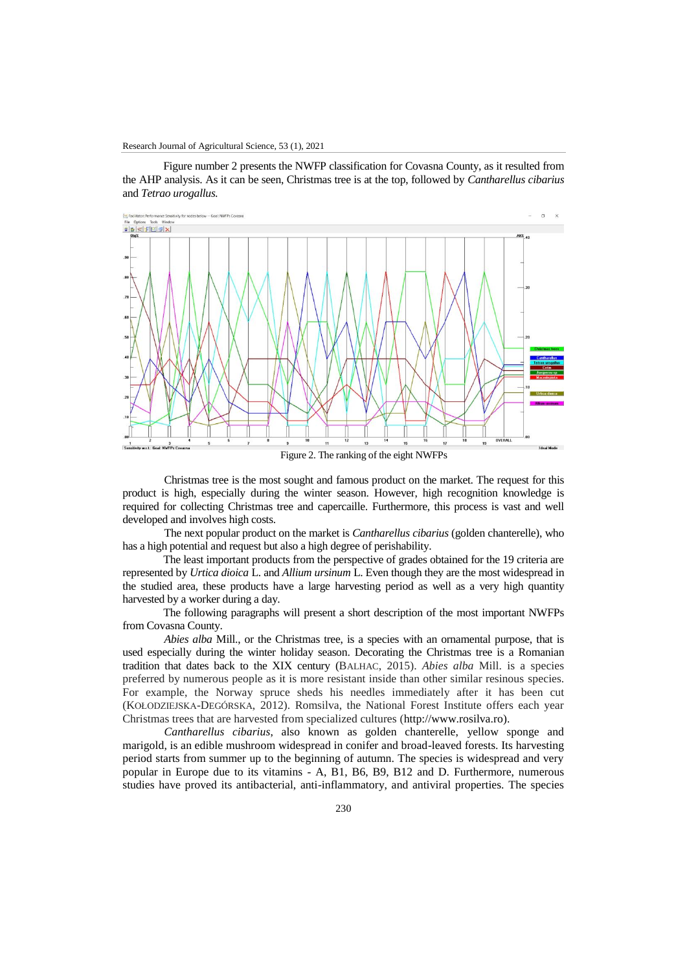Figure number 2 presents the NWFP classification for Covasna County, as it resulted from the AHP analysis. As it can be seen, Christmas tree is at the top, followed by *Cantharellus cibarius*  and *Tetrao urogallus.* 



Figure 2. The ranking of the eight NWFPs

Christmas tree is the most sought and famous product on the market. The request for this product is high, especially during the winter season. However, high recognition knowledge is required for collecting Christmas tree and capercaille. Furthermore, this process is vast and well developed and involves high costs.

The next popular product on the market is *Cantharellus cibarius* (golden chanterelle), who has a high potential and request but also a high degree of perishability.

The least important products from the perspective of grades obtained for the 19 criteria are represented by *Urtica dioica* L. and *Allium ursinum* L. Even though they are the most widespread in the studied area, these products have a large harvesting period as well as a very high quantity harvested by a worker during a day.

The following paragraphs will present a short description of the most important NWFPs from Covasna County.

*Abies alba* Mill., or the Christmas tree, is a species with an ornamental purpose, that is used especially during the winter holiday season. Decorating the Christmas tree is a Romanian tradition that dates back to the XIX century (BALHAC, 2015). *Abies alba* Mill. is a species preferred by numerous people as it is more resistant inside than other similar resinous species. For example, the Norway spruce sheds his needles immediately after it has been cut (KOŁODZIEJSKA-DEGÓRSKA, 2012). Romsilva, the National Forest Institute offers each year Christmas trees that are harvested from specialized cultures [\(http://www.rosilva.ro\)](http://www.rosilva.ro/).

*Cantharellus cibarius*, also known as golden chanterelle, yellow sponge and marigold, is an edible mushroom widespread in conifer and broad-leaved forests. Its harvesting period starts from summer up to the beginning of autumn. The species is widespread and very popular in Europe due to its vitamins - A, B1, B6, B9, B12 and D. Furthermore, numerous studies have proved its antibacterial, anti-inflammatory, and antiviral properties. The species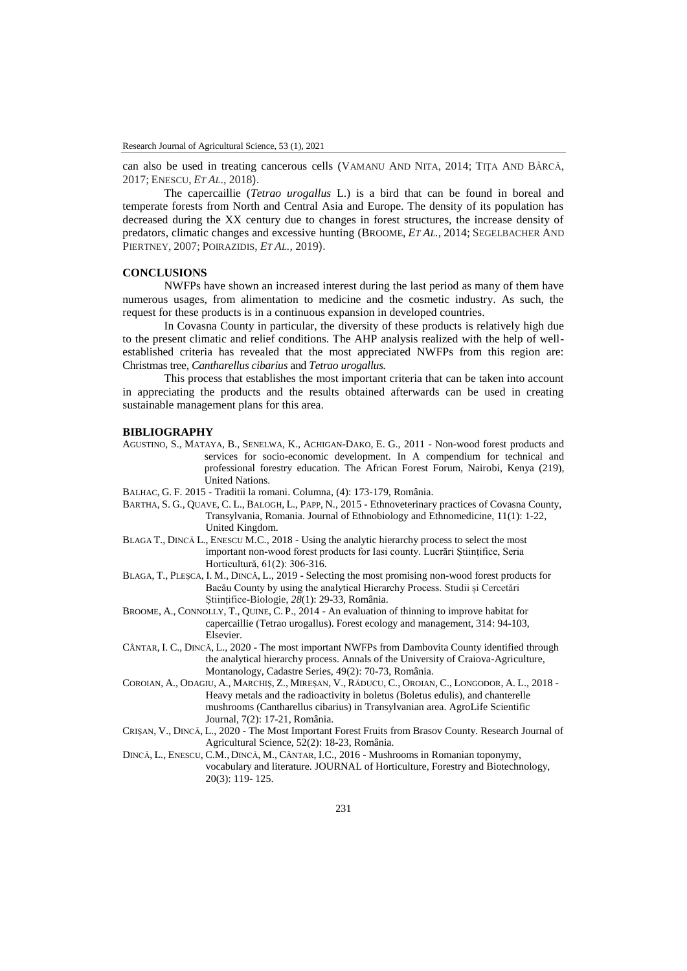can also be used in treating cancerous cells (VAMANU AND NITA, 2014; TIŢA AND BÂRCĂ, 2017; ENESCU, *ET AL*., 2018).

The capercaillie (*Tetrao urogallus* L.) is a bird that can be found in boreal and temperate forests from North and Central Asia and Europe. The density of its population has decreased during the XX century due to changes in forest structures, the increase density of predators, climatic changes and excessive hunting (BROOME, *ET AL.,* 2014; SEGELBACHER AND PIERTNEY, 2007; POIRAZIDIS, *ET AL.,* 2019).

### **CONCLUSIONS**

NWFPs have shown an increased interest during the last period as many of them have numerous usages, from alimentation to medicine and the cosmetic industry. As such, the request for these products is in a continuous expansion in developed countries.

In Covasna County in particular, the diversity of these products is relatively high due to the present climatic and relief conditions. The AHP analysis realized with the help of wellestablished criteria has revealed that the most appreciated NWFPs from this region are: Christmas tree, *Cantharellus cibarius* and *Tetrao urogallus.* 

This process that establishes the most important criteria that can be taken into account in appreciating the products and the results obtained afterwards can be used in creating sustainable management plans for this area.

#### **BIBLIOGRAPHY**

- AGUSTINO, S., MATAYA, B., SENELWA, K., ACHIGAN-DAKO, E. G., 2011 Non-wood forest products and services for socio-economic development. In A compendium for technical and professional forestry education. The African Forest Forum, Nairobi, Kenya (219), United Nations.
- BALHAC, G. F. 2015 Traditii la romani. Columna, (4): 173-179, România.
- BARTHA, S. G., QUAVE, C. L., BALOGH, L., PAPP, N., 2015 Ethnoveterinary practices of Covasna County, Transylvania, Romania. Journal of Ethnobiology and Ethnomedicine, 11(1): 1-22, United Kingdom.
- BLAGA T., DINCĂ L., ENESCU M.C., 2018 Using the analytic hierarchy process to select the most important non-wood forest products for Iasi county. Lucrări Științifice, Seria Horticultură, 61(2): 306-316.
- BLAGA, T., PLEȘCA, I. M., DINCĂ, L., 2019 Selecting the most promising non-wood forest products for Bacău County by using the analytical Hierarchy Process. Studii și Cercetări Științifice-Biologie, *28*(1): 29-33, România.
- BROOME, A., CONNOLLY, T., QUINE, C. P., 2014 An evaluation of thinning to improve habitat for capercaillie (Tetrao urogallus). Forest ecology and management, 314: 94-103, Elsevier.
- CÂNTAR, I. C., DINCĂ, L., 2020 The most important NWFPs from Dambovita County identified through the analytical hierarchy process. Annals of the University of Craiova-Agriculture, Montanology, Cadastre Series, 49(2): 70-73, România.
- COROIAN, A., ODAGIU, A., MARCHIȘ, Z., MIREȘAN, V., RĂDUCU, C., OROIAN, C., LONGODOR, A. L., 2018 Heavy metals and the radioactivity in boletus (Boletus edulis), and chanterelle mushrooms (Cantharellus cibarius) in Transylvanian area. AgroLife Scientific Journal, 7(2): 17-21, România.
- CRIȘAN, V., DINCĂ, L., 2020 The Most Important Forest Fruits from Brasov County. Research Journal of Agricultural Science, 52(2): 18-23, România.
- DINCĂ, L., ENESCU, C.M., DINCĂ, M., CÂNTAR, I.C., 2016 Mushrooms in Romanian toponymy, vocabulary and literature. JOURNAL of Horticulture, Forestry and Biotechnology, 20(3): 119- 125.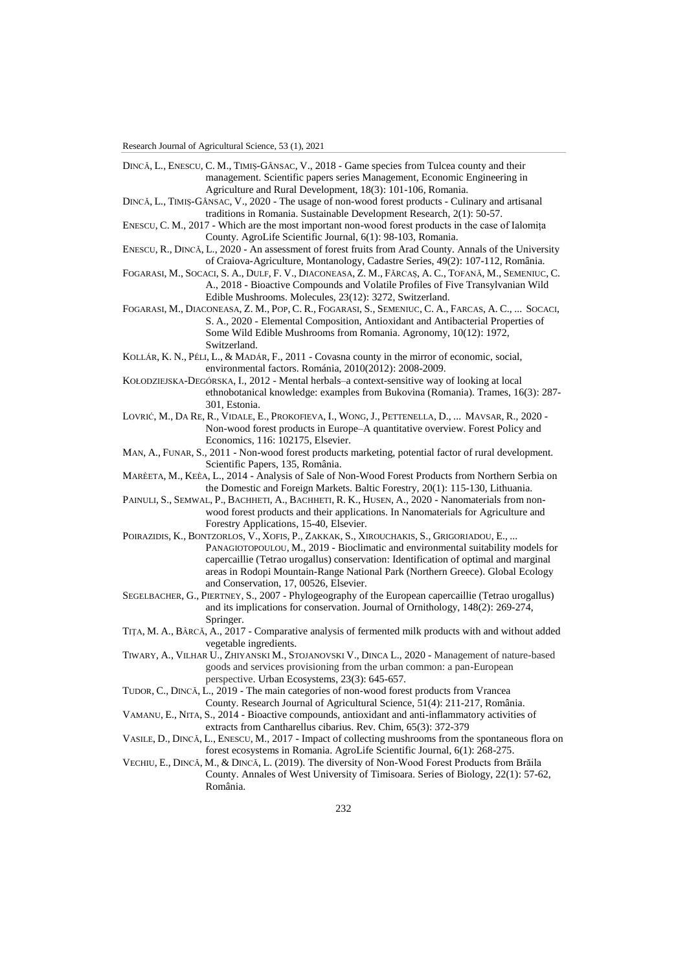- DINCĂ, L., ENESCU, C. M., TIMIȘ-GÂNSAC, V., 2018 Game species from Tulcea county and their management. Scientific papers series Management, Economic Engineering in Agriculture and Rural Development, 18(3): 101-106, Romania.
- DINCĂ, L., TIMIȘ-GÂNSAC, V., 2020 The usage of non-wood forest products Culinary and artisanal traditions in Romania. Sustainable Development Research, 2(1): 50-57.
- ENESCU, C. M., 2017 Which are the most important non-wood forest products in the case of Ialomița County. AgroLife Scientific Journal, 6(1): 98-103, Romania.
- ENESCU, R., DINCĂ, L., 2020 An assessment of forest fruits from Arad County. Annals of the University of Craiova-Agriculture, Montanology, Cadastre Series, 49(2): 107-112, România.
- FOGARASI, M., SOCACI, S. A., DULF, F. V., DIACONEASA, Z. M., FĂRCAȘ, A. C., TOFANĂ, M., SEMENIUC, C. A., 2018 - Bioactive Compounds and Volatile Profiles of Five Transylvanian Wild Edible Mushrooms. Molecules, 23(12): 3272, Switzerland.
- FOGARASI, M., DIACONEASA, Z. M., POP, C. R., FOGARASI, S., SEMENIUC, C. A., FARCAS, A. C., ... SOCACI, S. A., 2020 - Elemental Composition, Antioxidant and Antibacterial Properties of Some Wild Edible Mushrooms from Romania. Agronomy, 10(12): 1972, Switzerland.
- KOLLÁR, K. N., PÉLI, L., & MADÁR, F., 2011 Covasna county in the mirror of economic, social, environmental factors. Románia, 2010(2012): 2008-2009.
- KOŁODZIEJSKA-DEGÓRSKA, I., 2012 Mental herbals–a context-sensitive way of looking at local ethnobotanical knowledge: examples from Bukovina (Romania). Trames, 16(3): 287- 301, Estonia.
- LOVRIĆ, M., DA RE, R., VIDALE, E., PROKOFIEVA, I., WONG, J., PETTENELLA, D., ... MAVSAR, R., 2020 Non-wood forest products in Europe–A quantitative overview. Forest Policy and Economics, 116: 102175, Elsevier.
- MAN, A., FUNAR, S., 2011 Non-wood forest products marketing, potential factor of rural development. Scientific Papers, 135, România.
- MARÈETA, M., KEÈA, L., 2014 Analysis of Sale of Non-Wood Forest Products from Northern Serbia on the Domestic and Foreign Markets. Baltic Forestry, 20(1): 115-130, Lithuania.
- PAINULI, S., SEMWAL, P., BACHHETI, A., BACHHETI, R. K., HUSEN, A., 2020 Nanomaterials from nonwood forest products and their applications. In Nanomaterials for Agriculture and Forestry Applications, 15-40, Elsevier.
- POIRAZIDIS, K., BONTZORLOS, V., XOFIS, P., ZAKKAK, S., XIROUCHAKIS, S., GRIGORIADOU, E., ... PANAGIOTOPOULOU, M., 2019 - Bioclimatic and environmental suitability models for capercaillie (Tetrao urogallus) conservation: Identification of optimal and marginal areas in Rodopi Mountain-Range National Park (Northern Greece). Global Ecology and Conservation, 17, 00526, Elsevier.
- SEGELBACHER, G., PIERTNEY, S., 2007 Phylogeography of the European capercaillie (Tetrao urogallus) and its implications for conservation. Journal of Ornithology, 148(2): 269-274, Springer.
- TIŢA, M. A., BÂRCĂ, A., 2017 Comparative analysis of fermented milk products with and without added vegetable ingredients.
- TIWARY, A., VILHAR U., ZHIYANSKI M., STOJANOVSKI V., DINCA L., 2020 Management of nature-based goods and services provisioning from the urban common: a pan-European perspective. Urban Ecosystems, 23(3): 645-657.
- TUDOR, C., DINCĂ, L., 2019 The main categories of non-wood forest products from Vrancea County. Research Journal of Agricultural Science, 51(4): 211-217, România.
- VAMANU, E., NITA, S., 2014 Bioactive compounds, antioxidant and anti-inflammatory activities of extracts from Cantharellus cibarius. Rev. Chim, 65(3): 372-379
- VASILE, D., DINCĂ, L., ENESCU, M., 2017 Impact of collecting mushrooms from the spontaneous flora on forest ecosystems in Romania. AgroLife Scientific Journal, 6(1): 268-275.
- VECHIU, E., DINCĂ, M., & DINCĂ, L. (2019). The diversity of Non-Wood Forest Products from Brăila County. Annales of West University of Timisoara. Series of Biology, 22(1): 57-62, România.